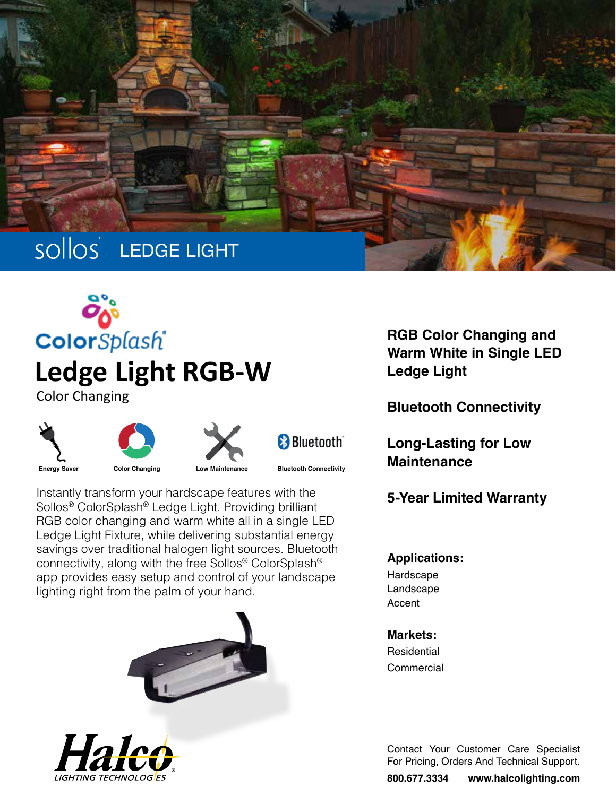









**Energy Saver Color Changing**

**Low Maintenance Bluetooth Connectivity**

Instantly transform your hardscape features with the Sollos® ColorSplash® Ledge Light. Providing brilliant RGB color changing and warm white all in a single LED Ledge Light Fixture, while delivering substantial energy savings over traditional halogen light sources. Bluetooth connectivity, along with the free Sollos® ColorSplash® app provides easy setup and control of your landscape lighting right from the palm of your hand.





**RGB Color Changing and Warm White in Single LED Ledge Light**

**Bluetooth Connectivity**

**Long-Lasting for Low Maintenance**

**5-Year Limited Warranty**

## **Applications:**

Hardscape Landscape Accent

**Markets: Residential Commercial** 

Contact Your Customer Care Specialist For Pricing, Orders And Technical Support.

**800.677.3334 www.halcolighting.com**